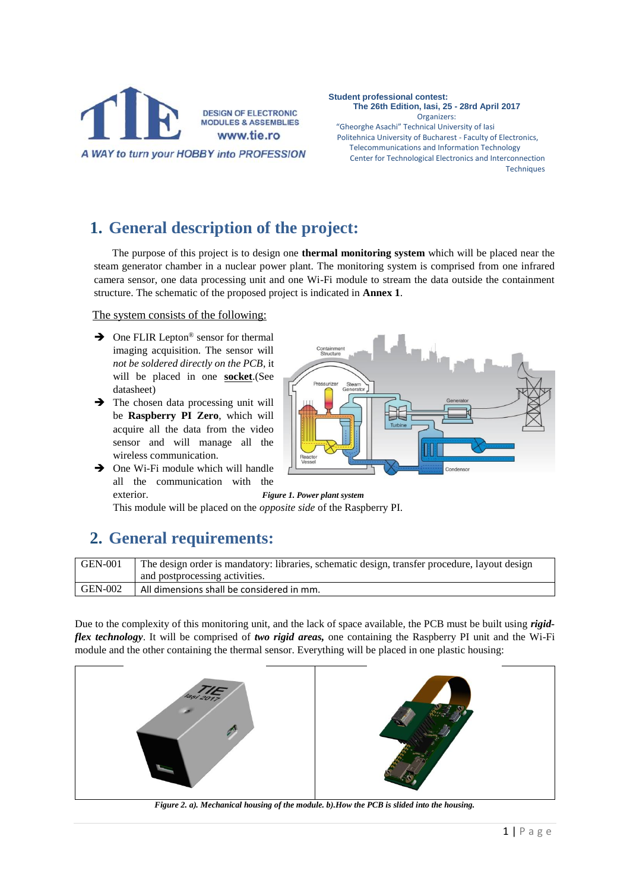

**Student professional contest: The 26th Edition, Iasi, 25 - 28rd April 2017** Organizers: "Gheorghe Asachi" Technical University of Iasi Politehnica University of Bucharest - Faculty of Electronics, Telecommunications and Information Technology Center for Technological Electronics and Interconnection **Techniques** 

### **1. General description of the project:**

The purpose of this project is to design one **thermal monitoring system** which will be placed near the steam generator chamber in a nuclear power plant. The monitoring system is comprised from one infrared camera sensor, one data processing unit and one Wi-Fi module to stream the data outside the containment structure. The schematic of the proposed project is indicated in **Annex 1**.

The system consists of the following:

- $\rightarrow$  One FLIR Lepton<sup>®</sup> sensor for thermal imaging acquisition. The sensor will *not be soldered directly on the PCB*, it will be placed in one **socket**.(See datasheet)
- $\rightarrow$  The chosen data processing unit will be **Raspberry PI Zero**, which will acquire all the data from the video sensor and will manage all the wireless communication.
- $\rightarrow$  One Wi-Fi module which will handle all the communication with the exterior. *Figure 1. Power plant system*

This module will be placed on the *opposite side* of the Raspberry PI.

#### **2. General requirements:**

GEN-001 The design order is mandatory: libraries, schematic design, transfer procedure, layout design and postprocessing activities. GEN-002 All dimensions shall be considered in mm.

Due to the complexity of this monitoring unit, and the lack of space available, the PCB must be built using *rigidflex technology*. It will be comprised of *two rigid areas,* one containing the Raspberry PI unit and the Wi-Fi module and the other containing the thermal sensor. Everything will be placed in one plastic housing:



*Figure 2. a). Mechanical housing of the module. b).How the PCB is slided into the housing.*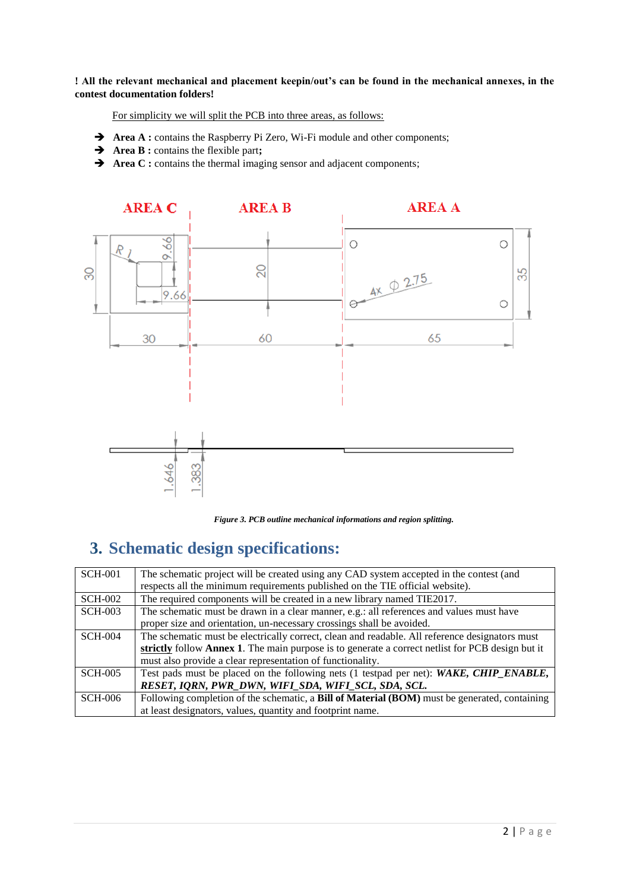**! All the relevant mechanical and placement keepin/out's can be found in the mechanical annexes, in the contest documentation folders!**

For simplicity we will split the PCB into three areas, as follows:

- Area A : contains the Raspberry Pi Zero, Wi-Fi module and other components;
- **Area B :** contains the flexible part**;**
- Area C : contains the thermal imaging sensor and adjacent components;



*Figure 3. PCB outline mechanical informations and region splitting.*

#### **3. Schematic design specifications:**

| <b>SCH-001</b> | The schematic project will be created using any CAD system accepted in the contest (and          |  |  |  |
|----------------|--------------------------------------------------------------------------------------------------|--|--|--|
|                | respects all the minimum requirements published on the TIE official website).                    |  |  |  |
| <b>SCH-002</b> | The required components will be created in a new library named TIE2017.                          |  |  |  |
| <b>SCH-003</b> | The schematic must be drawn in a clear manner, e.g.: all references and values must have         |  |  |  |
|                | proper size and orientation, un-necessary crossings shall be avoided.                            |  |  |  |
| <b>SCH-004</b> | The schematic must be electrically correct, clean and readable. All reference designators must   |  |  |  |
|                | strictly follow Annex 1. The main purpose is to generate a correct netlist for PCB design but it |  |  |  |
|                | must also provide a clear representation of functionality.                                       |  |  |  |
| <b>SCH-005</b> | Test pads must be placed on the following nets (1 testpad per net): WAKE, CHIP_ENABLE,           |  |  |  |
|                | RESET, IQRN, PWR_DWN, WIFI_SDA, WIFI_SCL, SDA, SCL.                                              |  |  |  |
| <b>SCH-006</b> | Following completion of the schematic, a Bill of Material (BOM) must be generated, containing    |  |  |  |
|                | at least designators, values, quantity and footprint name.                                       |  |  |  |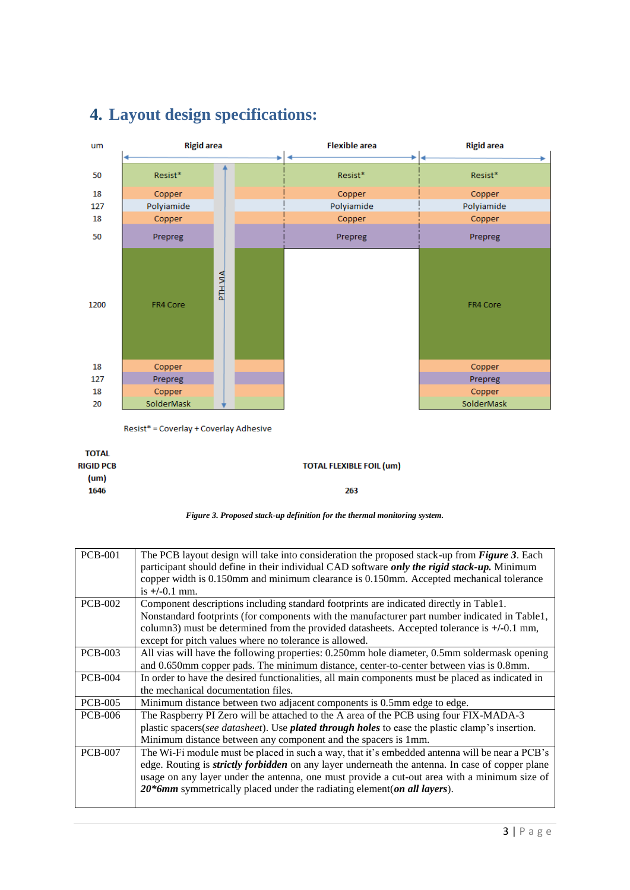

### **4. Layout design specifications:**

Resist\* = Coverlay + Coverlay Adhesive

**TOTAL TOTAL FLEXIBLE FOIL (um) RIGID PCB**  $(num)$ 1646 263



| <b>PCB-001</b> | The PCB layout design will take into consideration the proposed stack-up from Figure 3. Each            |  |  |  |  |
|----------------|---------------------------------------------------------------------------------------------------------|--|--|--|--|
|                | participant should define in their individual CAD software only the rigid stack-up. Minimum             |  |  |  |  |
|                | copper width is 0.150mm and minimum clearance is 0.150mm. Accepted mechanical tolerance                 |  |  |  |  |
|                | is $+/-0.1$ mm.                                                                                         |  |  |  |  |
| <b>PCB-002</b> | Component descriptions including standard footprints are indicated directly in Table1.                  |  |  |  |  |
|                | Nonstandard footprints (for components with the manufacturer part number indicated in Table1,           |  |  |  |  |
|                | column3) must be determined from the provided datasheets. Accepted tolerance is +/-0.1 mm,              |  |  |  |  |
|                | except for pitch values where no tolerance is allowed.                                                  |  |  |  |  |
| <b>PCB-003</b> | All vias will have the following properties: 0.250mm hole diameter, 0.5mm soldermask opening            |  |  |  |  |
|                | and 0.650mm copper pads. The minimum distance, center-to-center between vias is 0.8mm.                  |  |  |  |  |
| <b>PCB-004</b> | In order to have the desired functionalities, all main components must be placed as indicated in        |  |  |  |  |
|                | the mechanical documentation files.                                                                     |  |  |  |  |
| <b>PCB-005</b> | Minimum distance between two adjacent components is 0.5mm edge to edge.                                 |  |  |  |  |
| <b>PCB-006</b> | The Raspberry PI Zero will be attached to the A area of the PCB using four FIX-MADA-3                   |  |  |  |  |
|                | plastic spacers(see datasheet). Use <b>plated through holes</b> to ease the plastic clamp's insertion.  |  |  |  |  |
|                | Minimum distance between any component and the spacers is 1mm.                                          |  |  |  |  |
| <b>PCB-007</b> | The Wi-Fi module must be placed in such a way, that it's embedded antenna will be near a PCB's          |  |  |  |  |
|                | edge. Routing is <i>strictly forbidden</i> on any layer underneath the antenna. In case of copper plane |  |  |  |  |
|                | usage on any layer under the antenna, one must provide a cut-out area with a minimum size of            |  |  |  |  |
|                | 20*6mm symmetrically placed under the radiating element (on all layers).                                |  |  |  |  |
|                |                                                                                                         |  |  |  |  |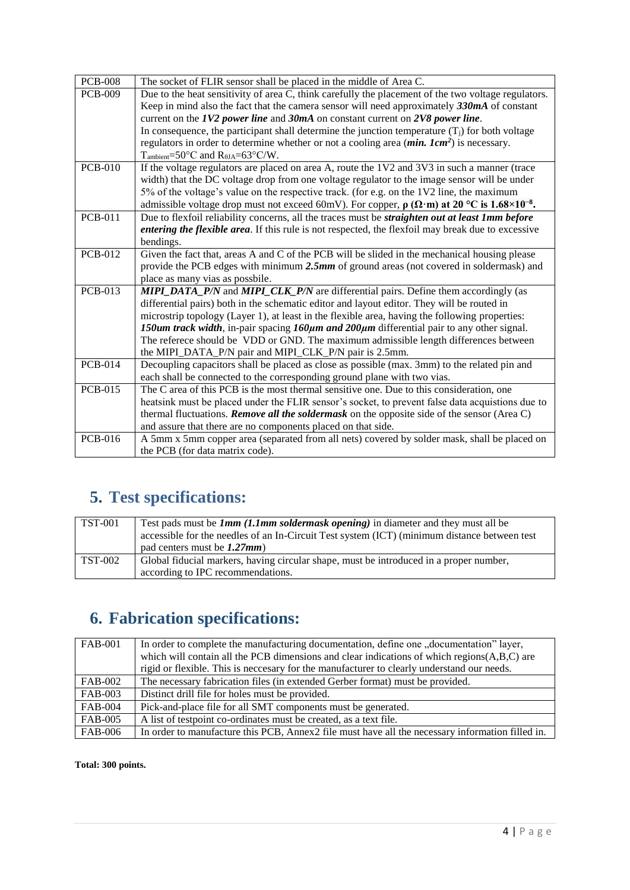| <b>PCB-008</b>                                                                                   | The socket of FLIR sensor shall be placed in the middle of Area C.                                                    |  |  |  |  |  |
|--------------------------------------------------------------------------------------------------|-----------------------------------------------------------------------------------------------------------------------|--|--|--|--|--|
| <b>PCB-009</b>                                                                                   | Due to the heat sensitivity of area C, think carefully the placement of the two voltage regulators.                   |  |  |  |  |  |
|                                                                                                  | Keep in mind also the fact that the camera sensor will need approximately $330mA$ of constant                         |  |  |  |  |  |
|                                                                                                  | current on the $IV2$ power line and $30mA$ on constant current on $2V8$ power line.                                   |  |  |  |  |  |
|                                                                                                  | In consequence, the participant shall determine the junction temperature $(T_i)$ for both voltage                     |  |  |  |  |  |
|                                                                                                  | regulators in order to determine whether or not a cooling area $(min. Icm2)$ is necessary.                            |  |  |  |  |  |
|                                                                                                  | $T_{\text{ambient}} = 50^{\circ}C$ and $R_{\theta JA} = 63^{\circ}C/W$ .                                              |  |  |  |  |  |
| <b>PCB-010</b>                                                                                   | If the voltage regulators are placed on area A, route the 1V2 and 3V3 in such a manner (trace                         |  |  |  |  |  |
|                                                                                                  | width) that the DC voltage drop from one voltage regulator to the image sensor will be under                          |  |  |  |  |  |
|                                                                                                  | 5% of the voltage's value on the respective track. (for e.g. on the 1V2 line, the maximum                             |  |  |  |  |  |
|                                                                                                  | admissible voltage drop must not exceed 60mV). For copper, $\rho(\Omega \cdot m)$ at 20 °C is 1.68×10 <sup>-8</sup> . |  |  |  |  |  |
| <b>PCB-011</b>                                                                                   | Due to flexfoil reliability concerns, all the traces must be <i>straighten out at least 1mm before</i>                |  |  |  |  |  |
|                                                                                                  | entering the flexible area. If this rule is not respected, the flexfoil may break due to excessive                    |  |  |  |  |  |
|                                                                                                  | bendings.                                                                                                             |  |  |  |  |  |
| <b>PCB-012</b>                                                                                   | Given the fact that, areas A and C of the PCB will be slided in the mechanical housing please                         |  |  |  |  |  |
|                                                                                                  | provide the PCB edges with minimum 2.5mm of ground areas (not covered in soldermask) and                              |  |  |  |  |  |
|                                                                                                  | place as many vias as possbile.                                                                                       |  |  |  |  |  |
| <b>PCB-013</b>                                                                                   | <b>MIPI_DATA_P/N</b> and <b>MIPI_CLK_P/N</b> are differential pairs. Define them accordingly (as                      |  |  |  |  |  |
|                                                                                                  | differential pairs) both in the schematic editor and layout editor. They will be routed in                            |  |  |  |  |  |
|                                                                                                  | microstrip topology (Layer 1), at least in the flexible area, having the following properties:                        |  |  |  |  |  |
|                                                                                                  | 150um track width, in-pair spacing $160 \mu m$ and $200 \mu m$ differential pair to any other signal.                 |  |  |  |  |  |
|                                                                                                  | The referece should be VDD or GND. The maximum admissible length differences between                                  |  |  |  |  |  |
|                                                                                                  | the MIPI_DATA_P/N pair and MIPI_CLK_P/N pair is 2.5mm.                                                                |  |  |  |  |  |
| <b>PCB-014</b>                                                                                   | Decoupling capacitors shall be placed as close as possible (max. 3mm) to the related pin and                          |  |  |  |  |  |
|                                                                                                  | each shall be connected to the corresponding ground plane with two vias.                                              |  |  |  |  |  |
| <b>PCB-015</b>                                                                                   | The C area of this PCB is the most thermal sensitive one. Due to this consideration, one                              |  |  |  |  |  |
| heatsink must be placed under the FLIR sensor's socket, to prevent false data acquistions due to |                                                                                                                       |  |  |  |  |  |
|                                                                                                  | thermal fluctuations. <b>Remove all the soldermask</b> on the opposite side of the sensor (Area C)                    |  |  |  |  |  |
|                                                                                                  | and assure that there are no components placed on that side.                                                          |  |  |  |  |  |
| <b>PCB-016</b>                                                                                   | A 5mm x 5mm copper area (separated from all nets) covered by solder mask, shall be placed on                          |  |  |  |  |  |
|                                                                                                  | the PCB (for data matrix code).                                                                                       |  |  |  |  |  |

# **5. Test specifications:**

| $\overline{\text{TST-001}}$ | Test pads must be $Imm (1.1mm \text{ soldermask opening})$ in diameter and they must all be  |  |  |
|-----------------------------|----------------------------------------------------------------------------------------------|--|--|
|                             | accessible for the needles of an In-Circuit Test system (ICT) (minimum distance between test |  |  |
|                             | pad centers must be $1.27$ mm)                                                               |  |  |
| <b>TST-002</b>              | Global fiducial markers, having circular shape, must be introduced in a proper number,       |  |  |
|                             | according to IPC recommendations.                                                            |  |  |

## **6. Fabrication specifications:**

| <b>FAB-001</b> | In order to complete the manufacturing documentation, define one "documentation" layer,                                                                                                        |  |  |  |
|----------------|------------------------------------------------------------------------------------------------------------------------------------------------------------------------------------------------|--|--|--|
|                | which will contain all the PCB dimensions and clear indications of which regions $(A, B, C)$ are<br>rigid or flexible. This is necessary for the manufacturer to clearly understand our needs. |  |  |  |
|                |                                                                                                                                                                                                |  |  |  |
| FAB-002        | The necessary fabrication files (in extended Gerber format) must be provided.                                                                                                                  |  |  |  |
| FAB-003        | Distinct drill file for holes must be provided.                                                                                                                                                |  |  |  |
| FAB-004        | Pick-and-place file for all SMT components must be generated.                                                                                                                                  |  |  |  |
| FAB-005        | A list of testpoint co-ordinates must be created, as a text file.                                                                                                                              |  |  |  |
| <b>FAB-006</b> | In order to manufacture this PCB, Annex2 file must have all the necessary information filled in.                                                                                               |  |  |  |

**Total: 300 points.**